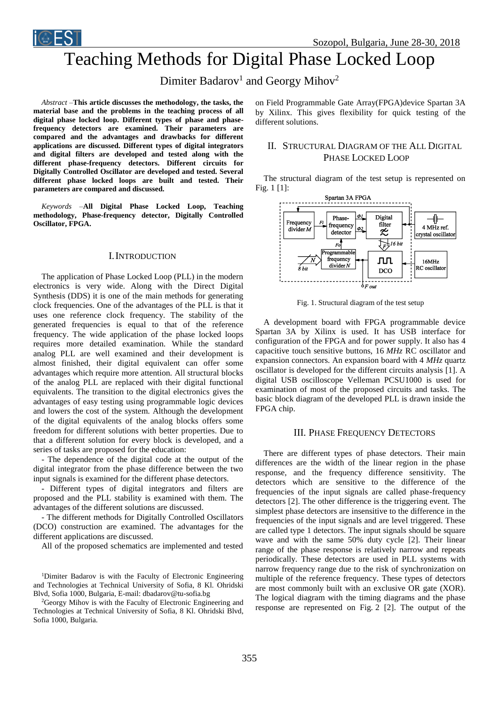

# Teaching Methods for Digital Phase Locked Loop

# Dimiter Badarov<sup>1</sup> and Georgy Mihov<sup>2</sup>

*Abstract –***This article discusses the methodology, the tasks, the material base and the problems in the teaching process of all digital phase locked loop. Different types of phase and phasefrequency detectors are examined. Their parameters are compared and the advantages and drawbacks for different applications are discussed. Different types of digital integrators and digital filters are developed and tested along with the different phase-frequency detectors. Different circuits for Digitally Controlled Oscillator are developed and tested. Several different phase locked loops are built and tested. Their parameters are compared and discussed.**

*Keywords –***All Digital Phase Locked Loop, Teaching methodology, Phase-frequency detector, Digitally Controlled Oscillator, FPGA.**

## I.INTRODUCTION

The application of Phase Locked Loop (PLL) in the modern electronics is very wide. Along with the Direct Digital Synthesis (DDS) it is one of the main methods for generating clock frequencies. One of the advantages of the PLL is that it uses one reference clock frequency. The stability of the generated frequencies is equal to that of the reference frequency. The wide application of the phase locked loops requires more detailed examination. While the standard analog PLL are well examined and their development is almost finished, their digital equivalent can offer some advantages which require more attention. All structural blocks of the analog PLL are replaced with their digital functional equivalents. The transition to the digital electronics gives the advantages of easy testing using programmable logic devices and lowers the cost of the system. Although the development of the digital equivalents of the analog blocks offers some freedom for different solutions with better properties. Due to that a different solution for every block is developed, and a series of tasks are proposed for the education:

- The dependence of the digital code at the output of the digital integrator from the phase difference between the two input signals is examined for the different phase detectors.

- Different types of digital integrators and filters are proposed and the PLL stability is examined with them. The advantages of the different solutions are discussed.

- The different methods for Digitally Controlled Oscillators (DCO) construction are examined. The advantages for the different applications are discussed.

All of the proposed schematics are implemented and tested

<sup>1</sup>Dimiter Badarov is with the Faculty of Electronic Engineering and Technologies at Technical University of Sofia, 8 Kl. Ohridski Blvd, Sofia 1000, Bulgaria, E-mail: dbadarov@tu-sofia.bg

<sup>2</sup>Georgy Mihov is with the Faculty of Electronic Engineering and Technologies at Technical University of Sofia, 8 Kl. Ohridski Blvd, Sofia 1000, Bulgaria.

on Field Programmable Gate Array(FPGA)device Spartan 3A by Xilinx. This gives flexibility for quick testing of the different solutions.

# II. STRUCTURAL DIAGRAM OF THE ALL DIGITAL PHASE LOCKED LOOP

The structural diagram of the test setup is represented on Fig. 1 [1]:



Fig. 1. Structural diagram of the test setup

A development board with FPGA programmable device Spartan 3A by Xilinx is used. It has USB interface for configuration of the FPGA and for power supply. It also has 4 capacitive touch sensitive buttons, 16 *MHz* RC oscillator and expansion connectors. An expansion board with 4 *MHz* quartz oscillator is developed for the different circuits analysis [1]. A digital USB oscilloscope Velleman PCSU1000 is used for examination of most of the proposed circuits and tasks. The basic block diagram of the developed PLL is drawn inside the FPGA chip.

### III. PHASE FREQUENCY DETECTORS

There are different types of phase detectors. Their main differences are the width of the linear region in the phase response, and the frequency difference sensitivity. The detectors which are sensitive to the difference of the frequencies of the input signals are called phase-frequency detectors [2]. The other difference is the triggering event. The simplest phase detectors are insensitive to the difference in the frequencies of the input signals and are level triggered. These are called type 1 detectors. The input signals should be square wave and with the same 50% duty cycle [2]. Their linear range of the phase response is relatively narrow and repeats periodically. These detectors are used in PLL systems with narrow frequency range due to the risk of synchronization on multiple of the reference frequency. These types of detectors are most commonly built with an exclusive OR gate (XOR). The logical diagram with the timing diagrams and the phase response are represented on Fig. 2 [2]. The output of the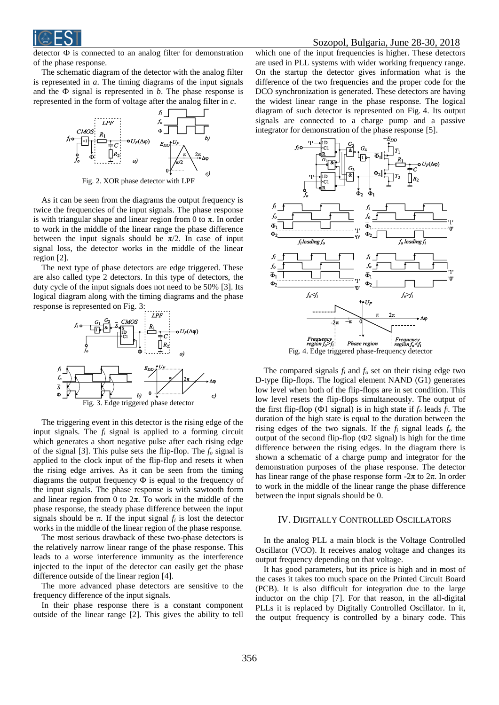detector Ф is connected to an analog filter for demonstration of the phase response.

The schematic diagram of the detector with the analog filter is represented in *a*. The timing diagrams of the input signals and the  $\Phi$  signal is represented in *b*. The phase response is represented in the form of voltage after the analog filter in *c*.



Fig. 2. XOR phase detector with LPF

As it can be seen from the diagrams the output frequency is twice the frequencies of the input signals. The phase response is with triangular shape and linear region from 0 to π. In order to work in the middle of the linear range the phase difference between the input signals should be  $\pi/2$ . In case of input signal loss, the detector works in the middle of the linear region [2].

The next type of phase detectors are edge triggered. These are also called type 2 detectors. In this type of detectors, the duty cycle of the input signals does not need to be 50% [3]. Its logical diagram along with the timing diagrams and the phase response is represented on Fig. 3:



The triggering event in this detector is the rising edge of the input signals. The *f<sup>i</sup>* signal is applied to a forming circuit which generates a short negative pulse after each rising edge of the signal [3]. This pulse sets the flip-flop. The *f<sup>o</sup>* signal is applied to the clock input of the flip-flop and resets it when the rising edge arrives. As it can be seen from the timing diagrams the output frequency Ф is equal to the frequency of the input signals. The phase response is with sawtooth form and linear region from 0 to  $2\pi$ . To work in the middle of the phase response, the steady phase difference between the input signals should be  $\pi$ . If the input signal  $f_i$  is lost the detector works in the middle of the linear region of the phase response.

The most serious drawback of these two-phase detectors is the relatively narrow linear range of the phase response. This leads to a worse interference immunity as the interference injected to the input of the detector can easily get the phase difference outside of the linear region [4].

The more advanced phase detectors are sensitive to the frequency difference of the input signals.

In their phase response there is a constant component outside of the linear range [2]. This gives the ability to tell

which one of the input frequencies is higher. These detectors are used in PLL systems with wider working frequency range. On the startup the detector gives information what is the difference of the two frequencies and the proper code for the DCO synchronization is generated. These detectors are having the widest linear range in the phase response. The logical diagram of such detector is represented on Fig. 4. Its output signals are connected to a charge pump and a passive integrator for demonstration of the phase response [5].



Fig. 4. Edge triggered phase-frequency detector

The compared signals  $f_i$  and  $f_o$  set on their rising edge two D-type flip-flops. The logical element NAND (G1) generates low level when both of the flip-flops are in set condition. This low level resets the flip-flops simultaneously. The output of the first flip-flop (Ф1 signal) is in high state if *f<sup>o</sup>* leads *fi*. The duration of the high state is equal to the duration between the rising edges of the two signals. If the  $f_i$  signal leads  $f_o$  the output of the second flip-flop (Ф2 signal) is high for the time difference between the rising edges. In the diagram there is shown a schematic of a charge pump and integrator for the demonstration purposes of the phase response. The detector has linear range of the phase response form  $-2\pi$  to  $2\pi$ . In order to work in the middle of the linear range the phase difference between the input signals should be 0.

#### IV. DIGITALLY CONTROLLED OSCILLATORS

In the analog PLL a main block is the Voltage Controlled Oscillator (VCO). It receives analog voltage and changes its output frequency depending on that voltage.

It has good parameters, but its price is high and in most of the cases it takes too much space on the Printed Circuit Board (PCB). It is also difficult for integration due to the large inductor on the chip [7]. For that reason, in the all-digital PLLs it is replaced by Digitally Controlled Oscillator. In it, the output frequency is controlled by a binary code. This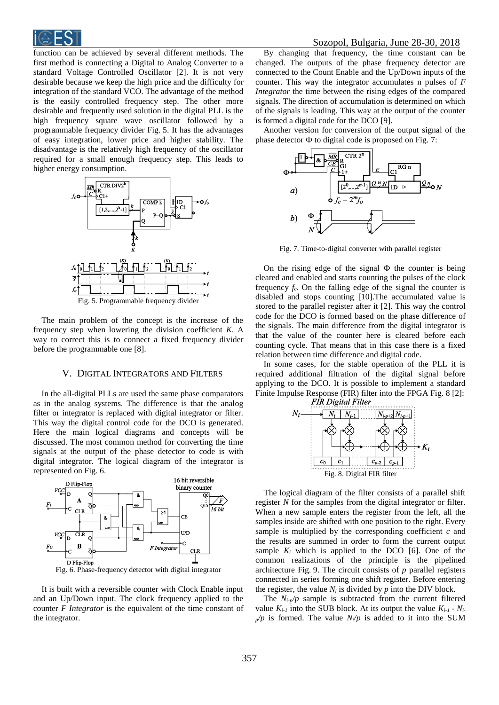

function can be achieved by several different methods. The first method is connecting a Digital to Analog Converter to a standard Voltage Controlled Oscillator [2]. It is not very desirable because we keep the high price and the difficulty for integration of the standard VCO. The advantage of the method is the easily controlled frequency step. The other more desirable and frequently used solution in the digital PLL is the high frequency square wave oscillator followed by a programmable frequency divider Fig. 5. It has the advantages of easy integration, lower price and higher stability. The disadvantage is the relatively high frequency of the oscillator required for a small enough frequency step. This leads to higher energy consumption.



The main problem of the concept is the increase of the frequency step when lowering the division coefficient *K*. A way to correct this is to connect a fixed frequency divider before the programmable one [8].

#### V. DIGITAL INTEGRATORS AND FILTERS

In the all-digital PLLs are used the same phase comparators as in the analog systems. The difference is that the analog filter or integrator is replaced with digital integrator or filter. This way the digital control code for the DCO is generated. Here the main logical diagrams and concepts will be discussed. The most common method for converting the time signals at the output of the phase detector to code is with digital integrator. The logical diagram of the integrator is represented on Fig. 6.



It is built with a reversible counter with Clock Enable input and an Up/Down input. The clock frequency applied to the counter *F Integrator* is the equivalent of the time constant of the integrator.

By changing that frequency, the time constant can be changed. The outputs of the phase frequency detector are connected to the Count Enable and the Up/Down inputs of the counter. This way the integrator accumulates n pulses of *F Integrator* the time between the rising edges of the compared signals. The direction of accumulation is determined on which of the signals is leading. This way at the output of the counter is formed a digital code for the DCO [9].

Another version for conversion of the output signal of the phase detector Ф to digital code is proposed on Fig. 7:



Fig. 7. Time-to-digital converter with parallel register

On the rising edge of the signal  $\Phi$  the counter is being cleared and enabled and starts counting the pulses of the clock frequency  $f_c$ . On the falling edge of the signal the counter is disabled and stops counting [10].The accumulated value is stored to the parallel register after it [2]. This way the control code for the DCO is formed based on the phase difference of the signals. The main difference from the digital integrator is that the value of the counter here is cleared before each counting cycle. That means that in this case there is a fixed relation between time difference and digital code.

In some cases, for the stable operation of the PLL it is required additional filtration of the digital signal before applying to the DCO. It is possible to implement a standard Finite Impulse Response (FIR) filter into the FPGA Fig. 8 [2]:



The logical diagram of the filter consists of a parallel shift register *N* for the samples from the digital integrator or filter. When a new sample enters the register from the left, all the samples inside are shifted with one position to the right. Every sample is multiplied by the corresponding coefficient *c* and the results are summed in order to form the current output sample  $K_i$  which is applied to the DCO [6]. One of the common realizations of the principle is the pipelined architecture Fig. 9. The circuit consists of *p* parallel registers connected in series forming one shift register. Before entering the register, the value  $N_i$  is divided by  $p$  into the DIV block.

The  $N_i$ - $p/p$  sample is subtracted from the current filtered value  $K_{i-1}$  into the SUB block. At its output the value  $K_{i-1}$  -  $N_{i-1}$  $p/p$  is formed. The value  $N/p$  is added to it into the SUM